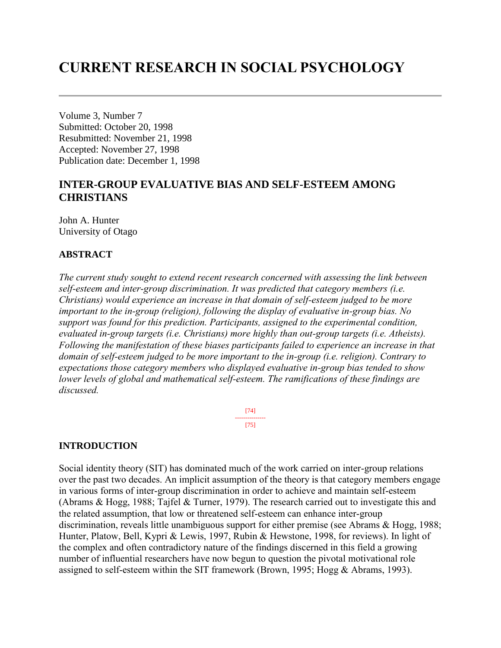# **CURRENT RESEARCH IN SOCIAL PSYCHOLOGY**

Volume 3, Number 7 Submitted: October 20, 1998 Resubmitted: November 21, 1998 Accepted: November 27, 1998 Publication date: December 1, 1998

## **INTER-GROUP EVALUATIVE BIAS AND SELF-ESTEEM AMONG CHRISTIANS**

John A. Hunter University of Otago

## **ABSTRACT**

*The current study sought to extend recent research concerned with assessing the link between self-esteem and inter-group discrimination. It was predicted that category members (i.e. Christians) would experience an increase in that domain of self-esteem judged to be more important to the in-group (religion), following the display of evaluative in-group bias. No support was found for this prediction. Participants, assigned to the experimental condition, evaluated in-group targets (i.e. Christians) more highly than out-group targets (i.e. Atheists). Following the manifestation of these biases participants failed to experience an increase in that domain of self-esteem judged to be more important to the in-group (i.e. religion). Contrary to expectations those category members who displayed evaluative in-group bias tended to show lower levels of global and mathematical self-esteem. The ramifications of these findings are discussed.*

> [74] --------------- [75]

## **INTRODUCTION**

Social identity theory (SIT) has dominated much of the work carried on inter-group relations over the past two decades. An implicit assumption of the theory is that category members engage in various forms of inter-group discrimination in order to achieve and maintain self-esteem (Abrams & Hogg, 1988; Tajfel & Turner, 1979). The research carried out to investigate this and the related assumption, that low or threatened self-esteem can enhance inter-group discrimination, reveals little unambiguous support for either premise (see Abrams & Hogg, 1988; Hunter, Platow, Bell, Kypri & Lewis, 1997, Rubin & Hewstone, 1998, for reviews). In light of the complex and often contradictory nature of the findings discerned in this field a growing number of influential researchers have now begun to question the pivotal motivational role assigned to self-esteem within the SIT framework (Brown, 1995; Hogg & Abrams, 1993).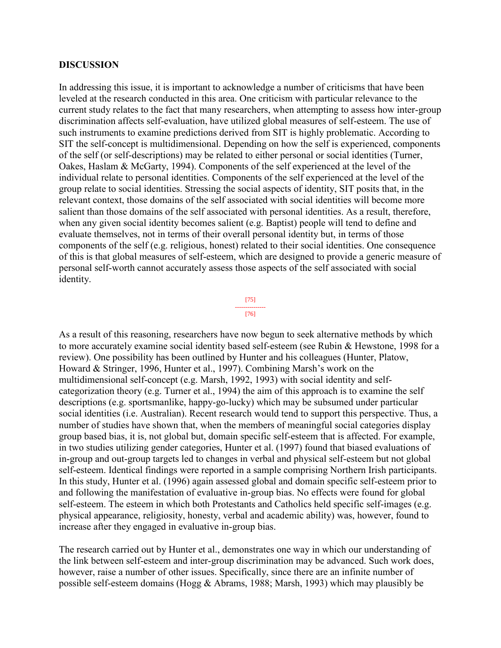#### **DISCUSSION**

In addressing this issue, it is important to acknowledge a number of criticisms that have been leveled at the research conducted in this area. One criticism with particular relevance to the current study relates to the fact that many researchers, when attempting to assess how inter-group discrimination affects self-evaluation, have utilized global measures of self-esteem. The use of such instruments to examine predictions derived from SIT is highly problematic. According to SIT the self-concept is multidimensional. Depending on how the self is experienced, components of the self (or self-descriptions) may be related to either personal or social identities (Turner, Oakes, Haslam & McGarty, 1994). Components of the self experienced at the level of the individual relate to personal identities. Components of the self experienced at the level of the group relate to social identities. Stressing the social aspects of identity, SIT posits that, in the relevant context, those domains of the self associated with social identities will become more salient than those domains of the self associated with personal identities. As a result, therefore, when any given social identity becomes salient (e.g. Baptist) people will tend to define and evaluate themselves, not in terms of their overall personal identity but, in terms of those components of the self (e.g. religious, honest) related to their social identities. One consequence of this is that global measures of self-esteem, which are designed to provide a generic measure of personal self-worth cannot accurately assess those aspects of the self associated with social identity.



As a result of this reasoning, researchers have now begun to seek alternative methods by which to more accurately examine social identity based self-esteem (see Rubin & Hewstone, 1998 for a review). One possibility has been outlined by Hunter and his colleagues (Hunter, Platow, Howard & Stringer, 1996, Hunter et al., 1997). Combining Marsh's work on the multidimensional self-concept (e.g. Marsh, 1992, 1993) with social identity and selfcategorization theory (e.g. Turner et al., 1994) the aim of this approach is to examine the self descriptions (e.g. sportsmanlike, happy-go-lucky) which may be subsumed under particular social identities (i.e. Australian). Recent research would tend to support this perspective. Thus, a number of studies have shown that, when the members of meaningful social categories display group based bias, it is, not global but, domain specific self-esteem that is affected. For example, in two studies utilizing gender categories, Hunter et al. (1997) found that biased evaluations of in-group and out-group targets led to changes in verbal and physical self-esteem but not global self-esteem. Identical findings were reported in a sample comprising Northern Irish participants. In this study, Hunter et al. (1996) again assessed global and domain specific self-esteem prior to and following the manifestation of evaluative in-group bias. No effects were found for global self-esteem. The esteem in which both Protestants and Catholics held specific self-images (e.g. physical appearance, religiosity, honesty, verbal and academic ability) was, however, found to increase after they engaged in evaluative in-group bias.

The research carried out by Hunter et al., demonstrates one way in which our understanding of the link between self-esteem and inter-group discrimination may be advanced. Such work does, however, raise a number of other issues. Specifically, since there are an infinite number of possible self-esteem domains (Hogg & Abrams, 1988; Marsh, 1993) which may plausibly be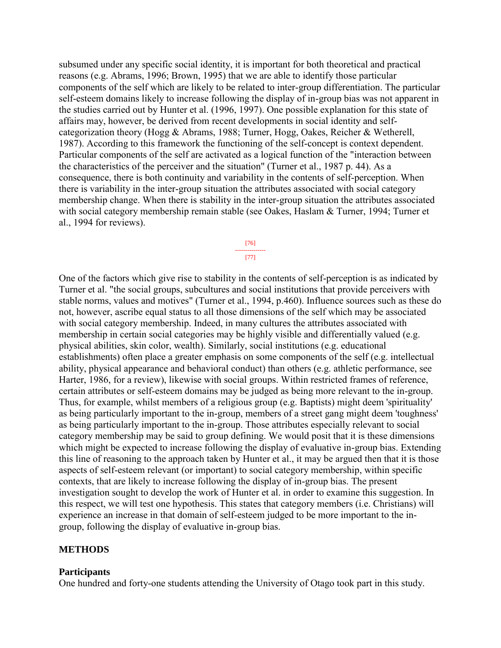subsumed under any specific social identity, it is important for both theoretical and practical reasons (e.g. Abrams, 1996; Brown, 1995) that we are able to identify those particular components of the self which are likely to be related to inter-group differentiation. The particular self-esteem domains likely to increase following the display of in-group bias was not apparent in the studies carried out by Hunter et al. (1996, 1997). One possible explanation for this state of affairs may, however, be derived from recent developments in social identity and selfcategorization theory (Hogg & Abrams, 1988; Turner, Hogg, Oakes, Reicher & Wetherell, 1987). According to this framework the functioning of the self-concept is context dependent. Particular components of the self are activated as a logical function of the "interaction between the characteristics of the perceiver and the situation" (Turner et al., 1987 p. 44). As a consequence, there is both continuity and variability in the contents of self-perception. When there is variability in the inter-group situation the attributes associated with social category membership change. When there is stability in the inter-group situation the attributes associated with social category membership remain stable (see Oakes, Haslam & Turner, 1994; Turner et al., 1994 for reviews).

> [76] --------------- [77]

One of the factors which give rise to stability in the contents of self-perception is as indicated by Turner et al. "the social groups, subcultures and social institutions that provide perceivers with stable norms, values and motives" (Turner et al., 1994, p.460). Influence sources such as these do not, however, ascribe equal status to all those dimensions of the self which may be associated with social category membership. Indeed, in many cultures the attributes associated with membership in certain social categories may be highly visible and differentially valued (e.g. physical abilities, skin color, wealth). Similarly, social institutions (e.g. educational establishments) often place a greater emphasis on some components of the self (e.g. intellectual ability, physical appearance and behavioral conduct) than others (e.g. athletic performance, see Harter, 1986, for a review), likewise with social groups. Within restricted frames of reference, certain attributes or self-esteem domains may be judged as being more relevant to the in-group. Thus, for example, whilst members of a religious group (e.g. Baptists) might deem 'spirituality' as being particularly important to the in-group, members of a street gang might deem 'toughness' as being particularly important to the in-group. Those attributes especially relevant to social category membership may be said to group defining. We would posit that it is these dimensions which might be expected to increase following the display of evaluative in-group bias. Extending this line of reasoning to the approach taken by Hunter et al., it may be argued then that it is those aspects of self-esteem relevant (or important) to social category membership, within specific contexts, that are likely to increase following the display of in-group bias. The present investigation sought to develop the work of Hunter et al. in order to examine this suggestion. In this respect, we will test one hypothesis. This states that category members (i.e. Christians) will experience an increase in that domain of self-esteem judged to be more important to the ingroup, following the display of evaluative in-group bias.

## **METHODS**

#### **Participants**

One hundred and forty-one students attending the University of Otago took part in this study.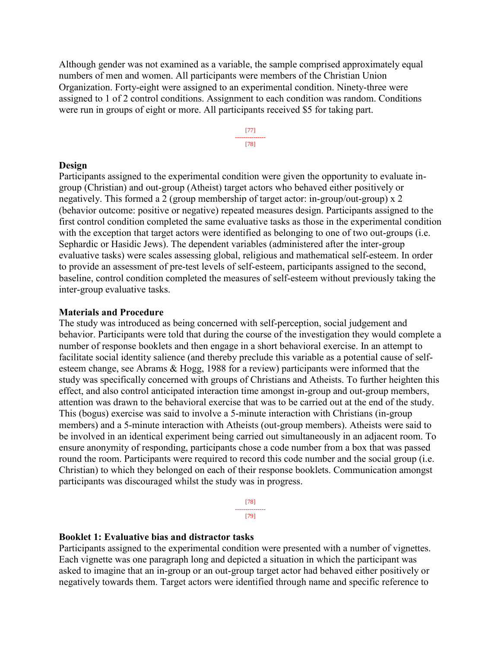Although gender was not examined as a variable, the sample comprised approximately equal numbers of men and women. All participants were members of the Christian Union Organization. Forty-eight were assigned to an experimental condition. Ninety-three were assigned to 1 of 2 control conditions. Assignment to each condition was random. Conditions were run in groups of eight or more. All participants received \$5 for taking part.



## **Design**

Participants assigned to the experimental condition were given the opportunity to evaluate ingroup (Christian) and out-group (Atheist) target actors who behaved either positively or negatively. This formed a 2 (group membership of target actor: in-group/out-group) x 2 (behavior outcome: positive or negative) repeated measures design. Participants assigned to the first control condition completed the same evaluative tasks as those in the experimental condition with the exception that target actors were identified as belonging to one of two out-groups (i.e. Sephardic or Hasidic Jews). The dependent variables (administered after the inter-group evaluative tasks) were scales assessing global, religious and mathematical self-esteem. In order to provide an assessment of pre-test levels of self-esteem, participants assigned to the second, baseline, control condition completed the measures of self-esteem without previously taking the inter-group evaluative tasks.

#### **Materials and Procedure**

The study was introduced as being concerned with self-perception, social judgement and behavior. Participants were told that during the course of the investigation they would complete a number of response booklets and then engage in a short behavioral exercise. In an attempt to facilitate social identity salience (and thereby preclude this variable as a potential cause of selfesteem change, see Abrams & Hogg, 1988 for a review) participants were informed that the study was specifically concerned with groups of Christians and Atheists. To further heighten this effect, and also control anticipated interaction time amongst in-group and out-group members, attention was drawn to the behavioral exercise that was to be carried out at the end of the study. This (bogus) exercise was said to involve a 5-minute interaction with Christians (in-group members) and a 5-minute interaction with Atheists (out-group members). Atheists were said to be involved in an identical experiment being carried out simultaneously in an adjacent room. To ensure anonymity of responding, participants chose a code number from a box that was passed round the room. Participants were required to record this code number and the social group (i.e. Christian) to which they belonged on each of their response booklets. Communication amongst participants was discouraged whilst the study was in progress.

> [78] --------------- [79]

#### **Booklet 1: Evaluative bias and distractor tasks**

Participants assigned to the experimental condition were presented with a number of vignettes. Each vignette was one paragraph long and depicted a situation in which the participant was asked to imagine that an in-group or an out-group target actor had behaved either positively or negatively towards them. Target actors were identified through name and specific reference to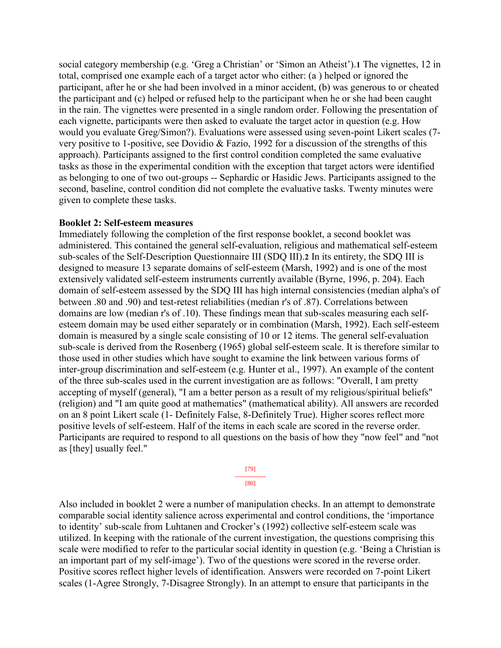social category membership (e.g. 'Greg a Christian' or 'Simon an Atheist').**1** The vignettes, 12 in total, comprised one example each of a target actor who either: (a ) helped or ignored the participant, after he or she had been involved in a minor accident, (b) was generous to or cheated the participant and (c) helped or refused help to the participant when he or she had been caught in the rain. The vignettes were presented in a single random order. Following the presentation of each vignette, participants were then asked to evaluate the target actor in question (e.g. How would you evaluate Greg/Simon?). Evaluations were assessed using seven-point Likert scales (7 very positive to 1-positive, see Dovidio & Fazio, 1992 for a discussion of the strengths of this approach). Participants assigned to the first control condition completed the same evaluative tasks as those in the experimental condition with the exception that target actors were identified as belonging to one of two out-groups -- Sephardic or Hasidic Jews. Participants assigned to the second, baseline, control condition did not complete the evaluative tasks. Twenty minutes were given to complete these tasks.

#### **Booklet 2: Self-esteem measures**

Immediately following the completion of the first response booklet, a second booklet was administered. This contained the general self-evaluation, religious and mathematical self-esteem sub-scales of the Self-Description Questionnaire III (SDQ III).**2** In its entirety, the SDQ III is designed to measure 13 separate domains of self-esteem (Marsh, 1992) and is one of the most extensively validated self-esteem instruments currently available (Byrne, 1996, p. 204). Each domain of self-esteem assessed by the SDQ III has high internal consistencies (median alpha's of between .80 and .90) and test-retest reliabilities (median r's of .87). Correlations between domains are low (median r's of .10). These findings mean that sub-scales measuring each selfesteem domain may be used either separately or in combination (Marsh, 1992). Each self-esteem domain is measured by a single scale consisting of 10 or 12 items. The general self-evaluation sub-scale is derived from the Rosenberg (1965) global self-esteem scale. It is therefore similar to those used in other studies which have sought to examine the link between various forms of inter-group discrimination and self-esteem (e.g. Hunter et al., 1997). An example of the content of the three sub-scales used in the current investigation are as follows: "Overall, I am pretty accepting of myself (general), "I am a better person as a result of my religious/spiritual beliefs" (religion) and "I am quite good at mathematics" (mathematical ability). All answers are recorded on an 8 point Likert scale (1- Definitely False, 8-Definitely True). Higher scores reflect more positive levels of self-esteem. Half of the items in each scale are scored in the reverse order. Participants are required to respond to all questions on the basis of how they "now feel" and "not as [they] usually feel."

> [79] --------------- [80]

Also included in booklet 2 were a number of manipulation checks. In an attempt to demonstrate comparable social identity salience across experimental and control conditions, the 'importance to identity' sub-scale from Luhtanen and Crocker's (1992) collective self-esteem scale was utilized. In keeping with the rationale of the current investigation, the questions comprising this scale were modified to refer to the particular social identity in question (e.g. 'Being a Christian is an important part of my self-image'). Two of the questions were scored in the reverse order. Positive scores reflect higher levels of identification. Answers were recorded on 7-point Likert scales (1-Agree Strongly, 7-Disagree Strongly). In an attempt to ensure that participants in the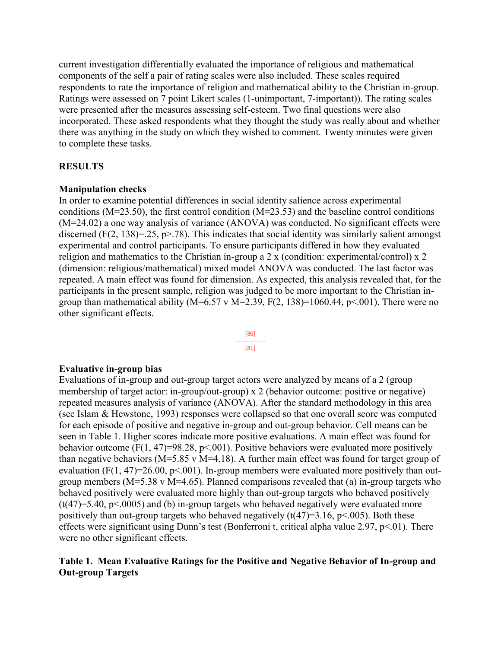current investigation differentially evaluated the importance of religious and mathematical components of the self a pair of rating scales were also included. These scales required respondents to rate the importance of religion and mathematical ability to the Christian in-group. Ratings were assessed on 7 point Likert scales (1-unimportant, 7-important)). The rating scales were presented after the measures assessing self-esteem. Two final questions were also incorporated. These asked respondents what they thought the study was really about and whether there was anything in the study on which they wished to comment. Twenty minutes were given to complete these tasks.

## **RESULTS**

## **Manipulation checks**

In order to examine potential differences in social identity salience across experimental conditions (M=23.50), the first control condition (M=23.53) and the baseline control conditions (M=24.02) a one way analysis of variance (ANOVA) was conducted. No significant effects were discerned (F(2, 138)=.25, p>.78). This indicates that social identity was similarly salient amongst experimental and control participants. To ensure participants differed in how they evaluated religion and mathematics to the Christian in-group a 2 x (condition: experimental/control) x 2 (dimension: religious/mathematical) mixed model ANOVA was conducted. The last factor was repeated. A main effect was found for dimension. As expected, this analysis revealed that, for the participants in the present sample, religion was judged to be more important to the Christian ingroup than mathematical ability ( $M=6.57$  v  $M=2.39$ ,  $F(2, 138)=1060.44$ ,  $p<0.01$ ). There were no other significant effects.



## **Evaluative in-group bias**

Evaluations of in-group and out-group target actors were analyzed by means of a 2 (group membership of target actor: in-group/out-group) x 2 (behavior outcome: positive or negative) repeated measures analysis of variance (ANOVA). After the standard methodology in this area (see Islam & Hewstone, 1993) responses were collapsed so that one overall score was computed for each episode of positive and negative in-group and out-group behavior. Cell means can be seen in Table 1. Higher scores indicate more positive evaluations. A main effect was found for behavior outcome (F(1, 47)=98.28, p<.001). Positive behaviors were evaluated more positively than negative behaviors (M=5.85 v M=4.18). A further main effect was found for target group of evaluation (F(1, 47)=26.00, p<.001). In-group members were evaluated more positively than outgroup members ( $M=5.38$  v  $M=4.65$ ). Planned comparisons revealed that (a) in-group targets who behaved positively were evaluated more highly than out-group targets who behaved positively  $(t(47)=5.40, p<0.005)$  and (b) in-group targets who behaved negatively were evaluated more positively than out-group targets who behaved negatively  $(t(47)=3.16, p<.005)$ . Both these effects were significant using Dunn's test (Bonferroni t, critical alpha value 2.97, p<.01). There were no other significant effects.

## **Table 1. Mean Evaluative Ratings for the Positive and Negative Behavior of In-group and Out-group Targets**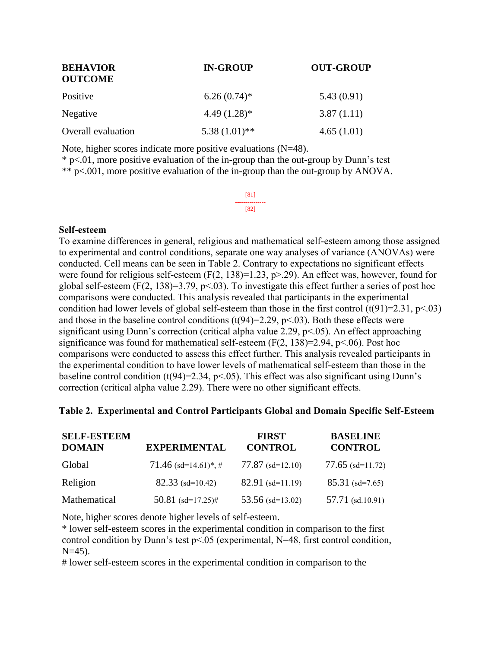| <b>BEHAVIOR</b><br><b>OUTCOME</b> | <b>IN-GROUP</b> | <b>OUT-GROUP</b> |  |
|-----------------------------------|-----------------|------------------|--|
| Positive                          | $6.26(0.74)$ *  | 5.43(0.91)       |  |
| Negative                          | $4.49(1.28)$ *  | 3.87(1.11)       |  |
| <b>Overall</b> evaluation         | $5.38(1.01)$ ** | 4.65(1.01)       |  |

Note, higher scores indicate more positive evaluations (N=48).

 $*$  p<.01, more positive evaluation of the in-group than the out-group by Dunn's test \*\* p<.001, more positive evaluation of the in-group than the out-group by ANOVA.

> [81] --------------- [82]

#### **Self-esteem**

To examine differences in general, religious and mathematical self-esteem among those assigned to experimental and control conditions, separate one way analyses of variance (ANOVAs) were conducted. Cell means can be seen in Table 2. Contrary to expectations no significant effects were found for religious self-esteem  $(F(2, 138)=1.23, p>29)$ . An effect was, however, found for global self-esteem  $(F(2, 138)=3.79, p<0.03)$ . To investigate this effect further a series of post hoc comparisons were conducted. This analysis revealed that participants in the experimental condition had lower levels of global self-esteem than those in the first control  $(t(91)=2.31, p<.03)$ and those in the baseline control conditions  $(t(94)=2.29, p<.03)$ . Both these effects were significant using Dunn's correction (critical alpha value 2.29, p<.05). An effect approaching significance was found for mathematical self-esteem  $(F(2, 138)=2.94, p<.06)$ . Post hoc comparisons were conducted to assess this effect further. This analysis revealed participants in the experimental condition to have lower levels of mathematical self-esteem than those in the baseline control condition (t(94)=2.34, p<.05). This effect was also significant using Dunn's correction (critical alpha value 2.29). There were no other significant effects.

#### **Table 2. Experimental and Control Participants Global and Domain Specific Self-Esteem**

| <b>SELF-ESTEEM</b><br><b>DOMAIN</b> | <b>EXPERIMENTAL</b>                 | <b>FIRST</b><br><b>CONTROL</b> | <b>BASELINE</b><br><b>CONTROL</b> |
|-------------------------------------|-------------------------------------|--------------------------------|-----------------------------------|
| Global                              | $71.46$ (sd=14.61) <sup>*</sup> , # | $77.87$ (sd=12.10)             | $77.65$ (sd=11.72)                |
| Religion                            | $82.33$ (sd=10.42)                  | $82.91$ (sd=11.19)             | $85.31$ (sd=7.65)                 |
| Mathematical                        | 50.81 $(sd=17.25)$ #                | 53.56 $(sd=13.02)$             | $57.71$ (sd.10.91)                |

Note, higher scores denote higher levels of self-esteem.

\* lower self-esteem scores in the experimental condition in comparison to the first control condition by Dunn's test p<.05 (experimental, N=48, first control condition,  $N=45$ ).

# lower self-esteem scores in the experimental condition in comparison to the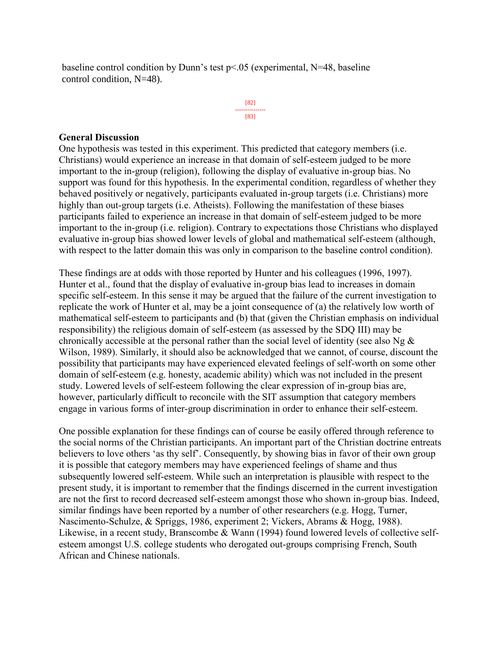baseline control condition by Dunn's test p<.05 (experimental, N=48, baseline control condition, N=48).

> [82] --------------- [83]

### **General Discussion**

One hypothesis was tested in this experiment. This predicted that category members (i.e. Christians) would experience an increase in that domain of self-esteem judged to be more important to the in-group (religion), following the display of evaluative in-group bias. No support was found for this hypothesis. In the experimental condition, regardless of whether they behaved positively or negatively, participants evaluated in-group targets (i.e. Christians) more highly than out-group targets (i.e. Atheists). Following the manifestation of these biases participants failed to experience an increase in that domain of self-esteem judged to be more important to the in-group (i.e. religion). Contrary to expectations those Christians who displayed evaluative in-group bias showed lower levels of global and mathematical self-esteem (although, with respect to the latter domain this was only in comparison to the baseline control condition).

These findings are at odds with those reported by Hunter and his colleagues (1996, 1997). Hunter et al., found that the display of evaluative in-group bias lead to increases in domain specific self-esteem. In this sense it may be argued that the failure of the current investigation to replicate the work of Hunter et al, may be a joint consequence of (a) the relatively low worth of mathematical self-esteem to participants and (b) that (given the Christian emphasis on individual responsibility) the religious domain of self-esteem (as assessed by the SDQ III) may be chronically accessible at the personal rather than the social level of identity (see also Ng  $\&$ Wilson, 1989). Similarly, it should also be acknowledged that we cannot, of course, discount the possibility that participants may have experienced elevated feelings of self-worth on some other domain of self-esteem (e.g. honesty, academic ability) which was not included in the present study. Lowered levels of self-esteem following the clear expression of in-group bias are, however, particularly difficult to reconcile with the SIT assumption that category members engage in various forms of inter-group discrimination in order to enhance their self-esteem.

One possible explanation for these findings can of course be easily offered through reference to the social norms of the Christian participants. An important part of the Christian doctrine entreats believers to love others 'as thy self'. Consequently, by showing bias in favor of their own group it is possible that category members may have experienced feelings of shame and thus subsequently lowered self-esteem. While such an interpretation is plausible with respect to the present study, it is important to remember that the findings discerned in the current investigation are not the first to record decreased self-esteem amongst those who shown in-group bias. Indeed, similar findings have been reported by a number of other researchers (e.g. Hogg, Turner, Nascimento-Schulze, & Spriggs, 1986, experiment 2; Vickers, Abrams & Hogg, 1988). Likewise, in a recent study, Branscombe & Wann (1994) found lowered levels of collective selfesteem amongst U.S. college students who derogated out-groups comprising French, South African and Chinese nationals.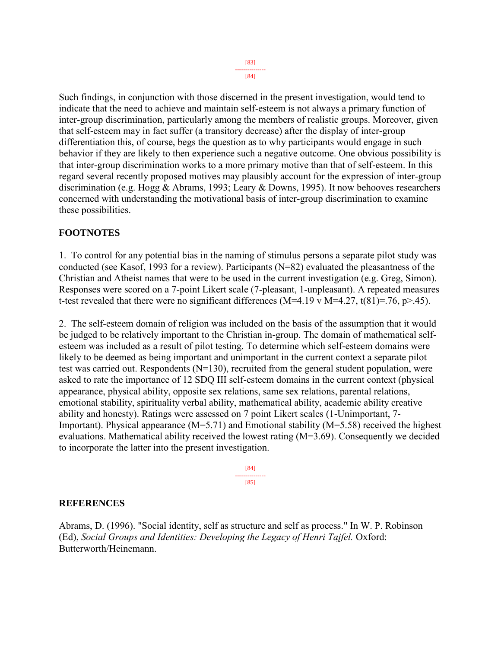[84]

Such findings, in conjunction with those discerned in the present investigation, would tend to indicate that the need to achieve and maintain self-esteem is not always a primary function of inter-group discrimination, particularly among the members of realistic groups. Moreover, given that self-esteem may in fact suffer (a transitory decrease) after the display of inter-group differentiation this, of course, begs the question as to why participants would engage in such behavior if they are likely to then experience such a negative outcome. One obvious possibility is that inter-group discrimination works to a more primary motive than that of self-esteem. In this regard several recently proposed motives may plausibly account for the expression of inter-group discrimination (e.g. Hogg & Abrams, 1993; Leary & Downs, 1995). It now behooves researchers concerned with understanding the motivational basis of inter-group discrimination to examine these possibilities.

## **FOOTNOTES**

1. To control for any potential bias in the naming of stimulus persons a separate pilot study was conducted (see Kasof, 1993 for a review). Participants (N=82) evaluated the pleasantness of the Christian and Atheist names that were to be used in the current investigation (e.g. Greg, Simon). Responses were scored on a 7-point Likert scale (7-pleasant, 1-unpleasant). A repeated measures t-test revealed that there were no significant differences (M=4.19 v M=4.27, t(81)=.76, p>.45).

2. The self-esteem domain of religion was included on the basis of the assumption that it would be judged to be relatively important to the Christian in-group. The domain of mathematical selfesteem was included as a result of pilot testing. To determine which self-esteem domains were likely to be deemed as being important and unimportant in the current context a separate pilot test was carried out. Respondents (N=130), recruited from the general student population, were asked to rate the importance of 12 SDQ III self-esteem domains in the current context (physical appearance, physical ability, opposite sex relations, same sex relations, parental relations, emotional stability, spirituality verbal ability, mathematical ability, academic ability creative ability and honesty). Ratings were assessed on 7 point Likert scales (1-Unimportant, 7- Important). Physical appearance  $(M=5.71)$  and Emotional stability  $(M=5.58)$  received the highest evaluations. Mathematical ability received the lowest rating (M=3.69). Consequently we decided to incorporate the latter into the present investigation.

> [84] --------------- [85]

## **REFERENCES**

Abrams, D. (1996). "Social identity, self as structure and self as process." In W. P. Robinson (Ed), *Social Groups and Identities: Developing the Legacy of Henri Tajfel.* Oxford: Butterworth/Heinemann.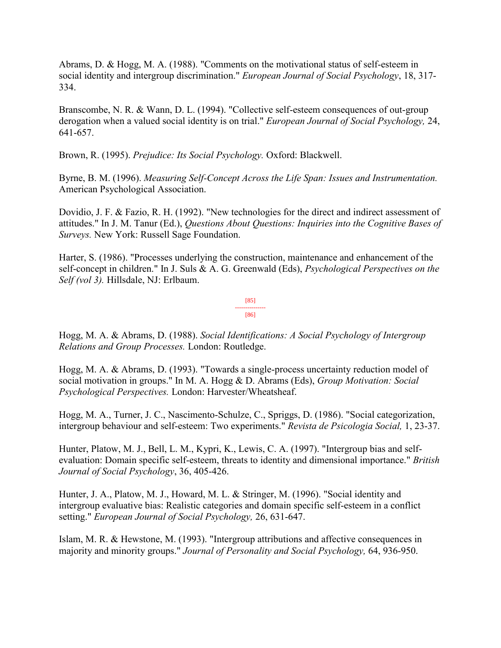Abrams, D. & Hogg, M. A. (1988). "Comments on the motivational status of self-esteem in social identity and intergroup discrimination." *European Journal of Social Psychology*, 18, 317- 334.

Branscombe, N. R. & Wann, D. L. (1994). "Collective self-esteem consequences of out-group derogation when a valued social identity is on trial." *European Journal of Social Psychology,* 24, 641-657.

Brown, R. (1995). *Prejudice: Its Social Psychology.* Oxford: Blackwell.

Byrne, B. M. (1996). *Measuring Self-Concept Across the Life Span: Issues and Instrumentation.*  American Psychological Association.

Dovidio, J. F. & Fazio, R. H. (1992). "New technologies for the direct and indirect assessment of attitudes." In J. M. Tanur (Ed.), *Questions About Questions: Inquiries into the Cognitive Bases of Surveys.* New York: Russell Sage Foundation.

Harter, S. (1986). "Processes underlying the construction, maintenance and enhancement of the self-concept in children." In J. Suls & A. G. Greenwald (Eds), *Psychological Perspectives on the Self (vol 3).* Hillsdale, NJ: Erlbaum.

> [85] --------------- [86]

Hogg, M. A. & Abrams, D. (1988). *Social Identifications: A Social Psychology of Intergroup Relations and Group Processes.* London: Routledge.

Hogg, M. A. & Abrams, D. (1993). "Towards a single-process uncertainty reduction model of social motivation in groups." In M. A. Hogg & D. Abrams (Eds), *Group Motivation: Social Psychological Perspectives.* London: Harvester/Wheatsheaf.

Hogg, M. A., Turner, J. C., Nascimento-Schulze, C., Spriggs, D. (1986). "Social categorization, intergroup behaviour and self-esteem: Two experiments." *Revista de Psicologia Social,* 1, 23-37.

Hunter, Platow, M. J., Bell, L. M., Kypri, K., Lewis, C. A. (1997). "Intergroup bias and selfevaluation: Domain specific self-esteem, threats to identity and dimensional importance." *British Journal of Social Psychology*, 36, 405-426.

Hunter, J. A., Platow, M. J., Howard, M. L. & Stringer, M. (1996). "Social identity and intergroup evaluative bias: Realistic categories and domain specific self-esteem in a conflict setting." *European Journal of Social Psychology,* 26, 631-647.

Islam, M. R. & Hewstone, M. (1993). "Intergroup attributions and affective consequences in majority and minority groups." *Journal of Personality and Social Psychology,* 64, 936-950.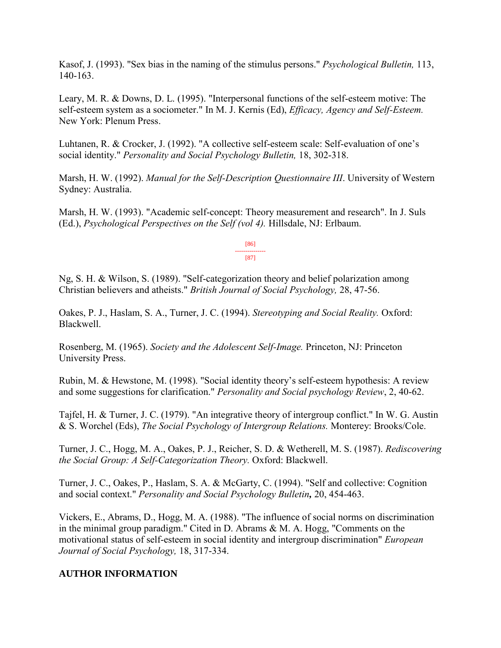Kasof, J. (1993). "Sex bias in the naming of the stimulus persons." *Psychological Bulletin,* 113, 140-163.

Leary, M. R. & Downs, D. L. (1995). "Interpersonal functions of the self-esteem motive: The self-esteem system as a sociometer." In M. J. Kernis (Ed), *Efficacy, Agency and Self-Esteem.* New York: Plenum Press.

Luhtanen, R. & Crocker, J. (1992). "A collective self-esteem scale: Self-evaluation of one's social identity." *Personality and Social Psychology Bulletin,* 18, 302-318.

Marsh, H. W. (1992). *Manual for the Self-Description Questionnaire III*. University of Western Sydney: Australia.

Marsh, H. W. (1993). "Academic self-concept: Theory measurement and research". In J. Suls (Ed.), *Psychological Perspectives on the Self (vol 4).* Hillsdale, NJ: Erlbaum.

> [86] --------------- [87]

Ng, S. H. & Wilson, S. (1989). "Self-categorization theory and belief polarization among Christian believers and atheists." *British Journal of Social Psychology,* 28, 47-56.

Oakes, P. J., Haslam, S. A., Turner, J. C. (1994). *Stereotyping and Social Reality.* Oxford: Blackwell.

Rosenberg, M. (1965). *Society and the Adolescent Self-Image.* Princeton, NJ: Princeton University Press.

Rubin, M. & Hewstone, M. (1998). "Social identity theory's self-esteem hypothesis: A review and some suggestions for clarification." *Personality and Social psychology Review*, 2, 40-62.

Tajfel, H. & Turner, J. C. (1979). "An integrative theory of intergroup conflict." In W. G. Austin & S. Worchel (Eds), *The Social Psychology of Intergroup Relations.* Monterey: Brooks/Cole.

Turner, J. C., Hogg, M. A., Oakes, P. J., Reicher, S. D. & Wetherell, M. S. (1987). *Rediscovering the Social Group: A Self-Categorization Theory.* Oxford: Blackwell.

Turner, J. C., Oakes, P., Haslam, S. A. & McGarty, C. (1994). "Self and collective: Cognition and social context." *Personality and Social Psychology Bulletin,* 20, 454-463.

Vickers, E., Abrams, D., Hogg, M. A. (1988). "The influence of social norms on discrimination in the minimal group paradigm." Cited in D. Abrams & M. A. Hogg, "Comments on the motivational status of self-esteem in social identity and intergroup discrimination" *European Journal of Social Psychology,* 18, 317-334.

## **AUTHOR INFORMATION**